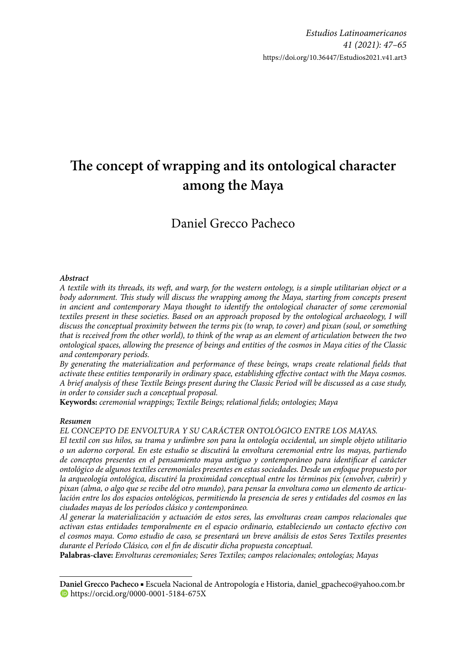# The concept of wrapping and its ontological character **among the Maya**

Daniel Grecco Pacheco

#### *Abstract*

*A textile with its threads, its weft , and warp, for the western ontology, is a simple utilitarian object or a*  body adornment. This study will discuss the wrapping among the Maya, starting from concepts present *in ancient and contemporary Maya thought to identify the ontological character of some ceremonial textiles present in these societies. Based on an approach proposed by the ontological archaeology, I will discuss the conceptual proximity between the terms pix (to wrap, to cover) and pixan (soul, or something that is received from the other world), to think of the wrap as an element of articulation between the two ontological spaces, allowing the presence of beings and entities of the cosmos in Maya cities of the Classic and contemporary periods.*

By generating the materialization and performance of these beings, wraps create relational fields that *activate these entities temporarily in ordinary space, establishing effective contact with the Maya cosmos. A brief analysis of these Textile Beings present during the Classic Period will be discussed as a case study, in order to consider such a conceptual proposal.*

**Keywords:** *ceremonial wrappings; Textile Beings; relational fi elds; ontologies; Maya*

#### *Resumen*

*EL CONCEPTO DE ENVOLTURA Y SU CARÁCTER ONTOLÓGICO ENTRE LOS MAYAS.*

*El textil con sus hilos, su trama y urdimbre son para la ontología occidental, un simple objeto utilitario o un adorno corporal. En este estudio se discutirá la envoltura ceremonial entre los mayas, partiendo*  de conceptos presentes en el pensamiento maya antiguo y contemporáneo para identificar el carácter *ontológico de algunos textiles ceremoniales presentes en estas sociedades. Desde un enfoque propuesto por la arqueología ontológica, discutiré la proximidad conceptual entre los términos pix (envolver, cubrir) y pixan (alma, o algo que se recibe del otro mundo), para pensar la envoltura como un elemento de articulación entre los dos espacios ontológicos, permitiendo la presencia de seres y entidades del cosmos en las ciudades mayas de los períodos clásico y contemporáneo.*

*Al generar la materialización y actuación de estos seres, las envolturas crean campos relacionales que activan estas entidades temporalmente en el espacio ordinario, estableciendo un contacto efectivo con el cosmos maya. Como estudio de caso, se presentará un breve análisis de estos Seres Textiles presentes durante el Período Clásico, con el fin de discutir dicha propuesta conceptual.* 

**Palabras-clave:** *Envolturas ceremoniales; Seres Textiles; campos relacionales; ontologías; Mayas*

**Daniel Grecco Pacheco** ■ Escuela Nacional de Antropología e Historia, daniel\_gpacheco@yahoo.com.br https://orcid.org/0000-0001-5184-675X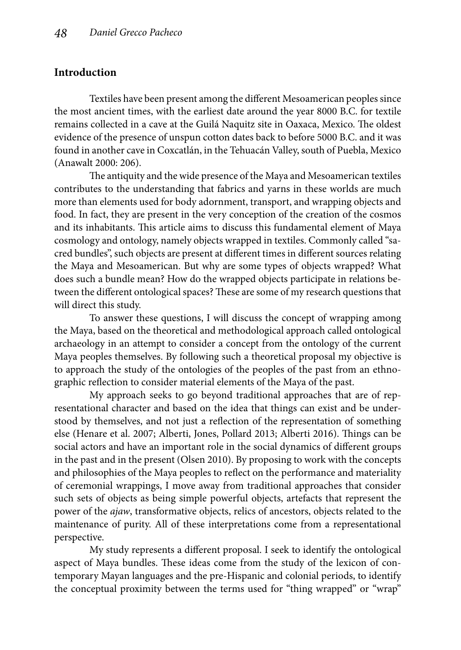# **Introduction**

Textiles have been present among the different Mesoamerican peoples since the most ancient times, with the earliest date around the year 8000 B.C. for textile remains collected in a cave at the Guilá Naquitz site in Oaxaca, Mexico. The oldest evidence of the presence of unspun cotton dates back to before 5000 B.C. and it was found in another cave in Coxcatlán, in the Tehuacán Valley, south of Puebla, Mexico (Anawalt 2000: 206).

The antiquity and the wide presence of the Maya and Mesoamerican textiles contributes to the understanding that fabrics and yarns in these worlds are much more than elements used for body adornment, transport, and wrapping objects and food. In fact, they are present in the very conception of the creation of the cosmos and its inhabitants. This article aims to discuss this fundamental element of Maya cosmology and ontology, namely objects wrapped in textiles. Commonly called "sacred bundles", such objects are present at different times in different sources relating the Maya and Mesoamerican. But why are some types of objects wrapped? What does such a bundle mean? How do the wrapped objects participate in relations between the different ontological spaces? These are some of my research questions that will direct this study.

To answer these questions, I will discuss the concept of wrapping among the Maya, based on the theoretical and methodological approach called ontological archaeology in an attempt to consider a concept from the ontology of the current Maya peoples themselves. By following such a theoretical proposal my objective is to approach the study of the ontologies of the peoples of the past from an ethnographic reflection to consider material elements of the Maya of the past.

My approach seeks to go beyond traditional approaches that are of representational character and based on the idea that things can exist and be understood by themselves, and not just a reflection of the representation of something else (Henare et al. 2007; Alberti, Jones, Pollard 2013; Alberti 2016). Things can be social actors and have an important role in the social dynamics of different groups in the past and in the present (Olsen 2010). By proposing to work with the concepts and philosophies of the Maya peoples to reflect on the performance and materiality of ceremonial wrappings, I move away from traditional approaches that consider such sets of objects as being simple powerful objects, artefacts that represent the power of the *ajaw*, transformative objects, relics of ancestors, objects related to the maintenance of purity. All of these interpretations come from a representational perspective.

My study represents a different proposal. I seek to identify the ontological aspect of Maya bundles. These ideas come from the study of the lexicon of contemporary Mayan languages and the pre-Hispanic and colonial periods, to identify the conceptual proximity between the terms used for "thing wrapped" or "wrap"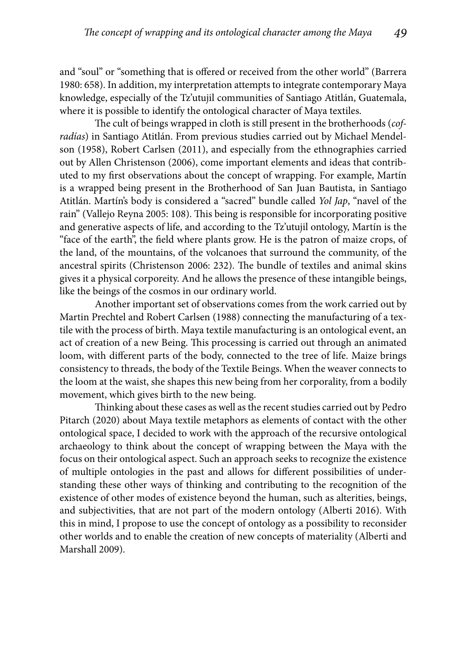and "soul" or "something that is offered or received from the other world" (Barrera 1980: 658). In addition, my interpretation attempts to integrate contemporary Maya knowledge, especially of the Tz'utujil communities of Santiago Atitlán, Guatemala, where it is possible to identify the ontological character of Maya textiles.

The cult of beings wrapped in cloth is still present in the brotherhoods (*cofradías*) in Santiago Atitlán. From previous studies carried out by Michael Mendelson (1958), Robert Carlsen (2011), and especially from the ethnographies carried out by Allen Christenson (2006), come important elements and ideas that contributed to my first observations about the concept of wrapping. For example, Martín is a wrapped being present in the Brotherhood of San Juan Bautista, in Santiago Atitlán. Martín's body is considered a "sacred" bundle called *Yol Jap*, "navel of the rain" (Vallejo Reyna 2005: 108). This being is responsible for incorporating positive and generative aspects of life, and according to the Tz'utujil ontology, Martín is the "face of the earth", the field where plants grow. He is the patron of maize crops, of the land, of the mountains, of the volcanoes that surround the community, of the ancestral spirits (Christenson 2006: 232). The bundle of textiles and animal skins gives it a physical corporeity. And he allows the presence of these intangible beings, like the beings of the cosmos in our ordinary world.

Another important set of observations comes from the work carried out by Martin Prechtel and Robert Carlsen (1988) connecting the manufacturing of a textile with the process of birth. Maya textile manufacturing is an ontological event, an act of creation of a new Being. This processing is carried out through an animated loom, with different parts of the body, connected to the tree of life. Maize brings consistency to threads, the body of the Textile Beings. When the weaver connects to the loom at the waist, she shapes this new being from her corporality, from a bodily movement, which gives birth to the new being.

Thinking about these cases as well as the recent studies carried out by Pedro Pitarch (2020) about Maya textile metaphors as elements of contact with the other ontological space, I decided to work with the approach of the recursive ontological archaeology to think about the concept of wrapping between the Maya with the focus on their ontological aspect. Such an approach seeks to recognize the existence of multiple ontologies in the past and allows for different possibilities of understanding these other ways of thinking and contributing to the recognition of the existence of other modes of existence beyond the human, such as alterities, beings, and subjectivities, that are not part of the modern ontology (Alberti 2016). With this in mind, I propose to use the concept of ontology as a possibility to reconsider other worlds and to enable the creation of new concepts of materiality (Alberti and Marshall 2009).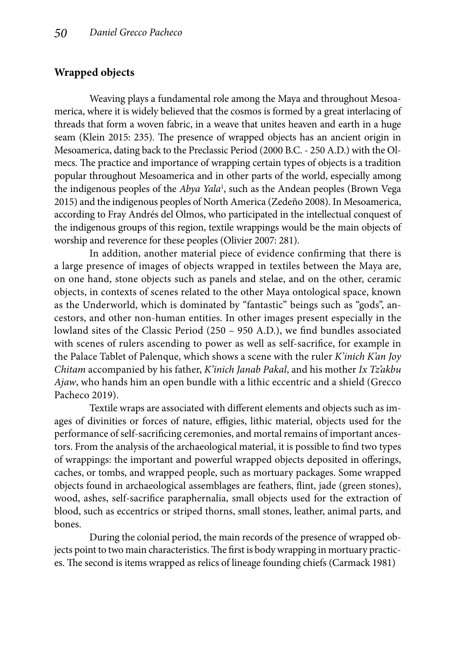### **Wrapped objects**

Weaving plays a fundamental role among the Maya and throughout Mesoamerica, where it is widely believed that the cosmos is formed by a great interlacing of threads that form a woven fabric, in a weave that unites heaven and earth in a huge seam (Klein 2015: 235). The presence of wrapped objects has an ancient origin in Mesoamerica, dating back to the Preclassic Period (2000 B.C. - 250 A.D.) with the Olmecs. The practice and importance of wrapping certain types of objects is a tradition popular throughout Mesoamerica and in other parts of the world, especially among the indigenous peoples of the *Abya Yala*<sup>1</sup> , such as the Andean peoples (Brown Vega 2015) and the indigenous peoples of North America (Zedeño 2008). In Mesoamerica, according to Fray Andrés del Olmos, who participated in the intellectual conquest of the indigenous groups of this region, textile wrappings would be the main objects of worship and reverence for these peoples (Olivier 2007: 281).

In addition, another material piece of evidence confirming that there is a large presence of images of objects wrapped in textiles between the Maya are, on one hand, stone objects such as panels and stelae, and on the other, ceramic objects, in contexts of scenes related to the other Maya ontological space, known as the Underworld, which is dominated by "fantastic" beings such as "gods", ancestors, and other non-human entities. In other images present especially in the lowland sites of the Classic Period  $(250 - 950 \text{ A.D.})$ , we find bundles associated with scenes of rulers ascending to power as well as self-sacrifice, for example in the Palace Tablet of Palenque, which shows a scene with the ruler *K'inich K'an Joy Chitam* accompanied by his father, *K'inich Janab Pakal*, and his mother *Ix Tz'akbu Ajaw*, who hands him an open bundle with a lithic eccentric and a shield (Grecco Pacheco 2019).

Textile wraps are associated with different elements and objects such as images of divinities or forces of nature, effigies, lithic material, objects used for the performance of self-sacrificing ceremonies, and mortal remains of important ancestors. From the analysis of the archaeological material, it is possible to find two types of wrappings: the important and powerful wrapped objects deposited in offerings, caches, or tombs, and wrapped people, such as mortuary packages. Some wrapped objects found in archaeological assemblages are feathers, flint, jade (green stones), wood, ashes, self-sacrifice paraphernalia, small objects used for the extraction of blood, such as eccentrics or striped thorns, small stones, leather, animal parts, and bones.

During the colonial period, the main records of the presence of wrapped objects point to two main characteristics. The first is body wrapping in mortuary practices. The second is items wrapped as relics of lineage founding chiefs (Carmack 1981)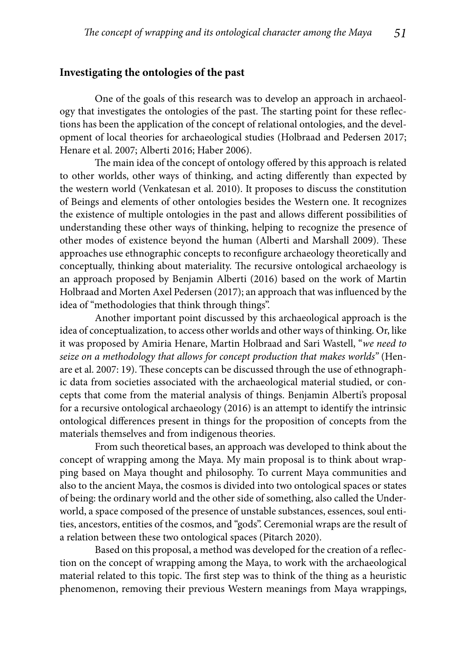#### **Investigating the ontologies of the past**

One of the goals of this research was to develop an approach in archaeology that investigates the ontologies of the past. The starting point for these reflections has been the application of the concept of relational ontologies, and the development of local theories for archaeological studies (Holbraad and Pedersen 2017; Henare et al. 2007; Alberti 2016; Haber 2006).

The main idea of the concept of ontology offered by this approach is related to other worlds, other ways of thinking, and acting differently than expected by the western world (Venkatesan et al. 2010). It proposes to discuss the constitution of Beings and elements of other ontologies besides the Western one. It recognizes the existence of multiple ontologies in the past and allows different possibilities of understanding these other ways of thinking, helping to recognize the presence of other modes of existence beyond the human (Alberti and Marshall 2009). These approaches use ethnographic concepts to reconfigure archaeology theoretically and conceptually, thinking about materiality. The recursive ontological archaeology is an approach proposed by Benjamin Alberti (2016) based on the work of Martin Holbraad and Morten Axel Pedersen (2017); an approach that was influenced by the idea of "methodologies that think through things".

Another important point discussed by this archaeological approach is the idea of conceptualization, to access other worlds and other ways of thinking. Or, like it was proposed by Amiria Henare, Martin Holbraad and Sari Wastell, "*we need to seize on a methodology that allows for concept production that makes worlds"* (Henare et al. 2007: 19). These concepts can be discussed through the use of ethnographic data from societies associated with the archaeological material studied, or concepts that come from the material analysis of things. Benjamin Alberti's proposal for a recursive ontological archaeology (2016) is an attempt to identify the intrinsic ontological differences present in things for the proposition of concepts from the materials themselves and from indigenous theories.

From such theoretical bases, an approach was developed to think about the concept of wrapping among the Maya. My main proposal is to think about wrapping based on Maya thought and philosophy. To current Maya communities and also to the ancient Maya, the cosmos is divided into two ontological spaces or states of being: the ordinary world and the other side of something, also called the Underworld, a space composed of the presence of unstable substances, essences, soul entities, ancestors, entities of the cosmos, and "gods". Ceremonial wraps are the result of a relation between these two ontological spaces (Pitarch 2020).

Based on this proposal, a method was developed for the creation of a reflection on the concept of wrapping among the Maya, to work with the archaeological material related to this topic. The first step was to think of the thing as a heuristic phenomenon, removing their previous Western meanings from Maya wrappings,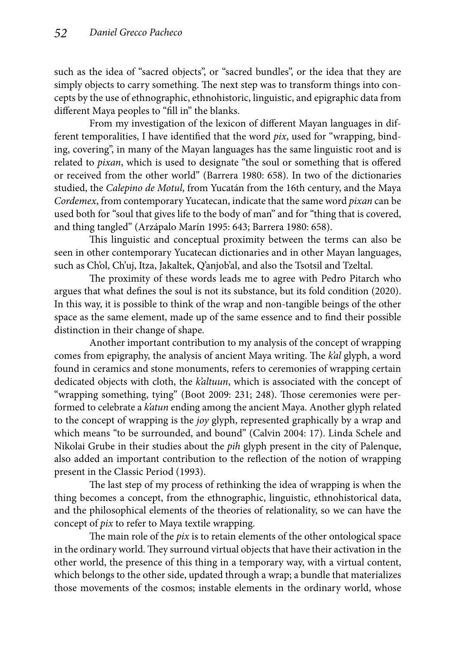such as the idea of "sacred objects", or "sacred bundles", or the idea that they are simply objects to carry something. The next step was to transform things into concepts by the use of ethnographic, ethnohistoric, linguistic, and epigraphic data from different Maya peoples to "fill in" the blanks.

From my investigation of the lexicon of different Mayan languages in different temporalities, I have identified that the word *pix*, used for "wrapping, binding, covering", in many of the Mayan languages has the same linguistic root and is related to *pixan*, which is used to designate "the soul or something that is offered or received from the other world" (Barrera 1980: 658). In two of the dictionaries studied, the *Calepino de Motul*, from Yucatán from the 16th century, and the Maya *Cordemex*, from contemporary Yucatecan, indicate that the same word *pixan* can be used both for "soul that gives life to the body of man" and for "thing that is covered, and thing tangled" (Arzápalo Marín 1995: 643; Barrera 1980: 658).

This linguistic and conceptual proximity between the terms can also be seen in other contemporary Yucatecan dictionaries and in other Mayan languages, such as Ch'ol, Ch'uj, Itza, Jakaltek, Q'anjob'al, and also the Tsotsil and Tzeltal.

The proximity of these words leads me to agree with Pedro Pitarch who argues that what defines the soul is not its substance, but its fold condition (2020). In this way, it is possible to think of the wrap and non-tangible beings of the other space as the same element, made up of the same essence and to find their possible distinction in their change of shape.

Another important contribution to my analysis of the concept of wrapping comes from epigraphy, the analysis of ancient Maya writing. The *k'al* glyph, a word found in ceramics and stone monuments, refers to ceremonies of wrapping certain dedicated objects with cloth, the *k'altuun*, which is associated with the concept of "wrapping something, tying" (Boot 2009: 231; 248). Those ceremonies were performed to celebrate a *k'atun* ending among the ancient Maya. Another glyph related to the concept of wrapping is the *joy* glyph, represented graphically by a wrap and which means "to be surrounded, and bound" (Calvin 2004: 17). Linda Schele and Nikolai Grube in their studies about the *pih* glyph present in the city of Palenque, also added an important contribution to the reflection of the notion of wrapping present in the Classic Period (1993).

The last step of my process of rethinking the idea of wrapping is when the thing becomes a concept, from the ethnographic, linguistic, ethnohistorical data, and the philosophical elements of the theories of relationality, so we can have the concept of *pix* to refer to Maya textile wrapping.

The main role of the *pix* is to retain elements of the other ontological space in the ordinary world. They surround virtual objects that have their activation in the other world, the presence of this thing in a temporary way, with a virtual content, which belongs to the other side, updated through a wrap; a bundle that materializes those movements of the cosmos; instable elements in the ordinary world, whose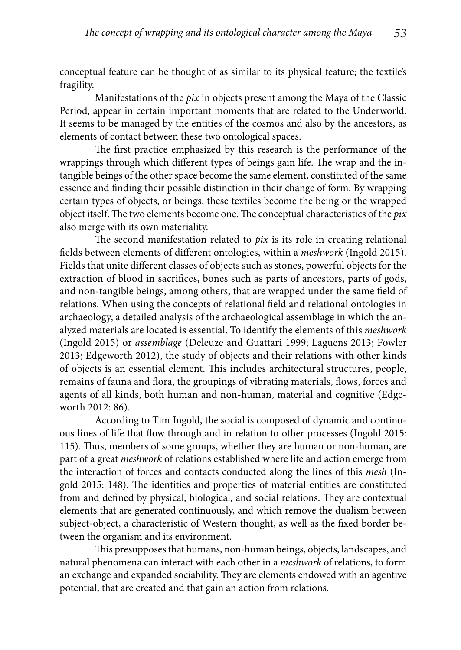conceptual feature can be thought of as similar to its physical feature; the textile's fragility.

Manifestations of the *pix* in objects present among the Maya of the Classic Period, appear in certain important moments that are related to the Underworld. It seems to be managed by the entities of the cosmos and also by the ancestors, as elements of contact between these two ontological spaces.

The first practice emphasized by this research is the performance of the wrappings through which different types of beings gain life. The wrap and the intangible beings of the other space become the same element, constituted of the same essence and finding their possible distinction in their change of form. By wrapping certain types of objects, or beings, these textiles become the being or the wrapped object itself. The two elements become one. The conceptual characteristics of the *pix* also merge with its own materiality.

The second manifestation related to *pix* is its role in creating relational fields between elements of different ontologies, within a *meshwork* (Ingold 2015). Fields that unite different classes of objects such as stones, powerful objects for the extraction of blood in sacrifices, bones such as parts of ancestors, parts of gods, and non-tangible beings, among others, that are wrapped under the same field of relations. When using the concepts of relational field and relational ontologies in archaeology, a detailed analysis of the archaeological assemblage in which the analyzed materials are located is essential. To identify the elements of this *meshwork* (Ingold 2015) or *assemblage* (Deleuze and Guattari 1999; Laguens 2013; Fowler 2013; Edgeworth 2012), the study of objects and their relations with other kinds of objects is an essential element. This includes architectural structures, people, remains of fauna and flora, the groupings of vibrating materials, flows, forces and agents of all kinds, both human and non-human, material and cognitive (Edgeworth 2012: 86).

According to Tim Ingold, the social is composed of dynamic and continuous lines of life that flow through and in relation to other processes (Ingold 2015: 115). Thus, members of some groups, whether they are human or non-human, are part of a great *meshwork* of relations established where life and action emerge from the interaction of forces and contacts conducted along the lines of this *mesh* (Ingold 2015: 148). The identities and properties of material entities are constituted from and defined by physical, biological, and social relations. They are contextual elements that are generated continuously, and which remove the dualism between subject-object, a characteristic of Western thought, as well as the fixed border between the organism and its environment.

This presupposes that humans, non-human beings, objects, landscapes, and natural phenomena can interact with each other in a *meshwork* of relations, to form an exchange and expanded sociability. They are elements endowed with an agentive potential, that are created and that gain an action from relations.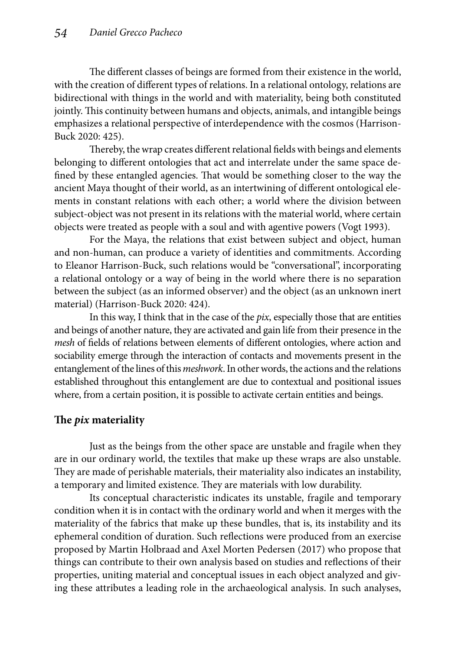The different classes of beings are formed from their existence in the world, with the creation of different types of relations. In a relational ontology, relations are bidirectional with things in the world and with materiality, being both constituted jointly. This continuity between humans and objects, animals, and intangible beings emphasizes a relational perspective of interdependence with the cosmos (Harrison-Buck 2020: 425).

Thereby, the wrap creates different relational fields with beings and elements belonging to different ontologies that act and interrelate under the same space defined by these entangled agencies. That would be something closer to the way the ancient Maya thought of their world, as an intertwining of different ontological elements in constant relations with each other; a world where the division between subject-object was not present in its relations with the material world, where certain objects were treated as people with a soul and with agentive powers (Vogt 1993).

For the Maya, the relations that exist between subject and object, human and non-human, can produce a variety of identities and commitments. According to Eleanor Harrison-Buck, such relations would be "conversational", incorporating a relational ontology or a way of being in the world where there is no separation between the subject (as an informed observer) and the object (as an unknown inert material) (Harrison-Buck 2020: 424).

In this way, I think that in the case of the *pix*, especially those that are entities and beings of another nature, they are activated and gain life from their presence in the *mesh* of fields of relations between elements of different ontologies, where action and sociability emerge through the interaction of contacts and movements present in the entanglement of the lines of this *meshwork*. In other words, the actions and the relations established throughout this entanglement are due to contextual and positional issues where, from a certain position, it is possible to activate certain entities and beings.

# **The** *pix* **materiality**

Just as the beings from the other space are unstable and fragile when they are in our ordinary world, the textiles that make up these wraps are also unstable. They are made of perishable materials, their materiality also indicates an instability, a temporary and limited existence. They are materials with low durability.

Its conceptual characteristic indicates its unstable, fragile and temporary condition when it is in contact with the ordinary world and when it merges with the materiality of the fabrics that make up these bundles, that is, its instability and its ephemeral condition of duration. Such reflections were produced from an exercise proposed by Martin Holbraad and Axel Morten Pedersen (2017) who propose that things can contribute to their own analysis based on studies and reflections of their properties, uniting material and conceptual issues in each object analyzed and giving these attributes a leading role in the archaeological analysis. In such analyses,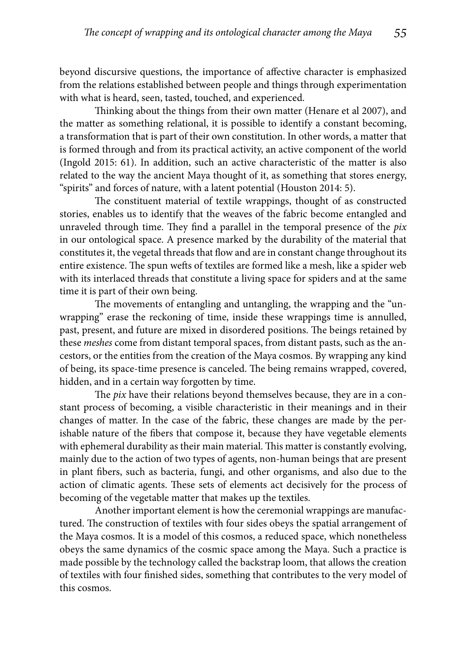beyond discursive questions, the importance of affective character is emphasized from the relations established between people and things through experimentation with what is heard, seen, tasted, touched, and experienced.

Thinking about the things from their own matter (Henare et al 2007), and the matter as something relational, it is possible to identify a constant becoming, a transformation that is part of their own constitution. In other words, a matter that is formed through and from its practical activity, an active component of the world (Ingold 2015: 61). In addition, such an active characteristic of the matter is also related to the way the ancient Maya thought of it, as something that stores energy, "spirits" and forces of nature, with a latent potential (Houston 2014: 5).

The constituent material of textile wrappings, thought of as constructed stories, enables us to identify that the weaves of the fabric become entangled and unraveled through time. They find a parallel in the temporal presence of the *pix* in our ontological space. A presence marked by the durability of the material that constitutes it, the vegetal threads that flow and are in constant change throughout its entire existence. The spun wefts of textiles are formed like a mesh, like a spider web with its interlaced threads that constitute a living space for spiders and at the same time it is part of their own being.

The movements of entangling and untangling, the wrapping and the "unwrapping" erase the reckoning of time, inside these wrappings time is annulled, past, present, and future are mixed in disordered positions. The beings retained by these *meshes* come from distant temporal spaces, from distant pasts, such as the ancestors, or the entities from the creation of the Maya cosmos. By wrapping any kind of being, its space-time presence is canceled. The being remains wrapped, covered, hidden, and in a certain way forgotten by time.

The *pix* have their relations beyond themselves because, they are in a constant process of becoming, a visible characteristic in their meanings and in their changes of matter. In the case of the fabric, these changes are made by the perishable nature of the fibers that compose it, because they have vegetable elements with ephemeral durability as their main material. This matter is constantly evolving, mainly due to the action of two types of agents, non-human beings that are present in plant fibers, such as bacteria, fungi, and other organisms, and also due to the action of climatic agents. These sets of elements act decisively for the process of becoming of the vegetable matter that makes up the textiles.

Another important element is how the ceremonial wrappings are manufactured. The construction of textiles with four sides obeys the spatial arrangement of the Maya cosmos. It is a model of this cosmos, a reduced space, which nonetheless obeys the same dynamics of the cosmic space among the Maya. Such a practice is made possible by the technology called the backstrap loom, that allows the creation of textiles with four finished sides, something that contributes to the very model of this cosmos.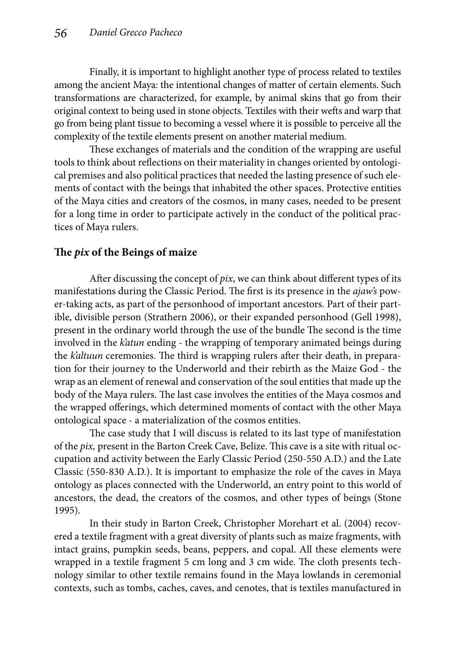Finally, it is important to highlight another type of process related to textiles among the ancient Maya: the intentional changes of matter of certain elements. Such transformations are characterized, for example, by animal skins that go from their original context to being used in stone objects. Textiles with their wefts and warp that go from being plant tissue to becoming a vessel where it is possible to perceive all the complexity of the textile elements present on another material medium.

These exchanges of materials and the condition of the wrapping are useful tools to think about reflections on their materiality in changes oriented by ontological premises and also political practices that needed the lasting presence of such elements of contact with the beings that inhabited the other spaces. Protective entities of the Maya cities and creators of the cosmos, in many cases, needed to be present for a long time in order to participate actively in the conduct of the political practices of Maya rulers.

# The *pix* of the Beings of maize

After discussing the concept of *pix*, we can think about different types of its manifestations during the Classic Period. The first is its presence in the *ajaw's* power-taking acts, as part of the personhood of important ancestors. Part of their partible, divisible person (Strathern 2006), or their expanded personhood (Gell 1998), present in the ordinary world through the use of the bundle The second is the time involved in the *k'atun* ending - the wrapping of temporary animated beings during the *k'altuun* ceremonies. The third is wrapping rulers after their death, in preparation for their journey to the Underworld and their rebirth as the Maize God - the wrap as an element of renewal and conservation of the soul entities that made up the body of the Maya rulers. The last case involves the entities of the Maya cosmos and the wrapped offerings, which determined moments of contact with the other Maya ontological space - a materialization of the cosmos entities.

The case study that I will discuss is related to its last type of manifestation of the *pix*, present in the Barton Creek Cave, Belize. This cave is a site with ritual occupation and activity between the Early Classic Period (250-550 A.D.) and the Late Classic (550-830 A.D.). It is important to emphasize the role of the caves in Maya ontology as places connected with the Underworld, an entry point to this world of ancestors, the dead, the creators of the cosmos, and other types of beings (Stone 1995).

In their study in Barton Creek, Christopher Morehart et al. (2004) recovered a textile fragment with a great diversity of plants such as maize fragments, with intact grains, pumpkin seeds, beans, peppers, and copal. All these elements were wrapped in a textile fragment 5 cm long and 3 cm wide. The cloth presents technology similar to other textile remains found in the Maya lowlands in ceremonial contexts, such as tombs, caches, caves, and cenotes, that is textiles manufactured in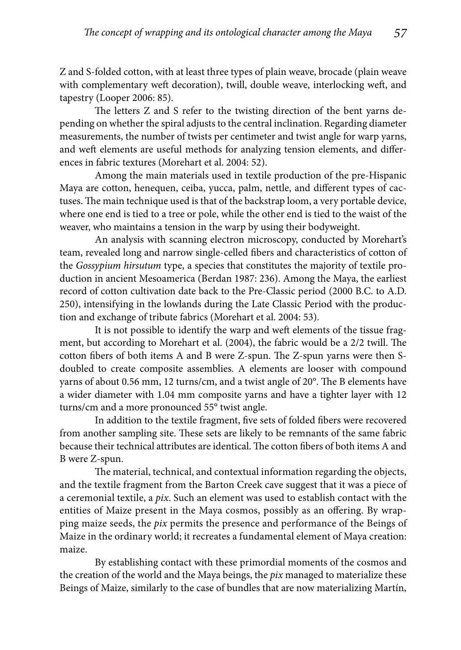Z and S-folded cotton, with at least three types of plain weave, brocade (plain weave with complementary weft decoration), twill, double weave, interlocking weft, and tapestry (Looper 2006: 85).

The letters Z and S refer to the twisting direction of the bent yarns depending on whether the spiral adjusts to the central inclination. Regarding diameter measurements, the number of twists per centimeter and twist angle for warp yarns, and weft elements are useful methods for analyzing tension elements, and differences in fabric textures (Morehart et al. 2004: 52).

Among the main materials used in textile production of the pre-Hispanic Maya are cotton, henequen, ceiba, yucca, palm, nettle, and different types of cactuses. The main technique used is that of the backstrap loom, a very portable device, where one end is tied to a tree or pole, while the other end is tied to the waist of the weaver, who maintains a tension in the warp by using their bodyweight.

An analysis with scanning electron microscopy, conducted by Morehart's team, revealed long and narrow single-celled fibers and characteristics of cotton of the *Gossypium hirsutum* type, a species that constitutes the majority of textile production in ancient Mesoamerica (Berdan 1987: 236). Among the Maya, the earliest record of cotton cultivation date back to the Pre-Classic period (2000 B.C. to A.D. 250), intensifying in the lowlands during the Late Classic Period with the production and exchange of tribute fabrics (Morehart et al. 2004: 53).

It is not possible to identify the warp and weft elements of the tissue fragment, but according to Morehart et al. (2004), the fabric would be a 2/2 twill. The cotton fibers of both items A and B were  $Z$ -spun. The  $Z$ -spun yarns were then Sdoubled to create composite assemblies. A elements are looser with compound yarns of about 0.56 mm, 12 turns/cm, and a twist angle of  $20^{\circ}$ . The B elements have a wider diameter with 1.04 mm composite yarns and have a tighter layer with 12 turns/cm and a more pronounced 55° twist angle.

In addition to the textile fragment, five sets of folded fibers were recovered from another sampling site. These sets are likely to be remnants of the same fabric because their technical attributes are identical. The cotton fibers of both items A and B were Z-spun.

The material, technical, and contextual information regarding the objects, and the textile fragment from the Barton Creek cave suggest that it was a piece of a ceremonial textile, a *pix*. Such an element was used to establish contact with the entities of Maize present in the Maya cosmos, possibly as an offering. By wrapping maize seeds, the *pix* permits the presence and performance of the Beings of Maize in the ordinary world; it recreates a fundamental element of Maya creation: maize.

By establishing contact with these primordial moments of the cosmos and the creation of the world and the Maya beings, the *pix* managed to materialize these Beings of Maize, similarly to the case of bundles that are now materializing Martín,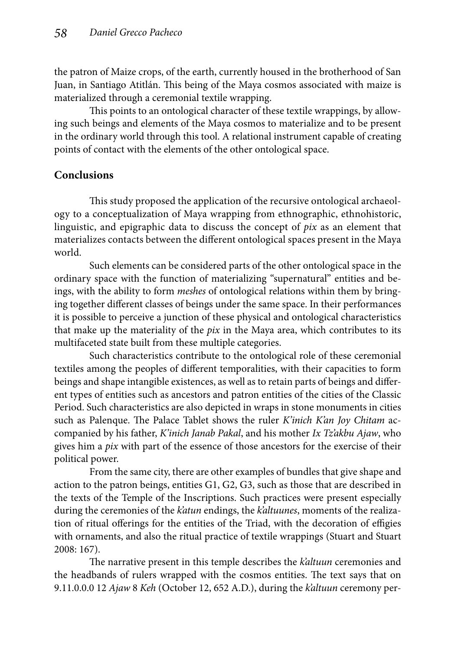the patron of Maize crops, of the earth, currently housed in the brotherhood of San Juan, in Santiago Atitlán. This being of the Maya cosmos associated with maize is materialized through a ceremonial textile wrapping.

This points to an ontological character of these textile wrappings, by allowing such beings and elements of the Maya cosmos to materialize and to be present in the ordinary world through this tool. A relational instrument capable of creating points of contact with the elements of the other ontological space.

# **Conclusions**

This study proposed the application of the recursive ontological archaeology to a conceptualization of Maya wrapping from ethnographic, ethnohistoric, linguistic, and epigraphic data to discuss the concept of *pix* as an element that materializes contacts between the different ontological spaces present in the Maya world.

Such elements can be considered parts of the other ontological space in the ordinary space with the function of materializing "supernatural" entities and beings, with the ability to form *meshes* of ontological relations within them by bringing together different classes of beings under the same space. In their performances it is possible to perceive a junction of these physical and ontological characteristics that make up the materiality of the *pix* in the Maya area, which contributes to its multifaceted state built from these multiple categories.

Such characteristics contribute to the ontological role of these ceremonial textiles among the peoples of different temporalities, with their capacities to form beings and shape intangible existences, as well as to retain parts of beings and different types of entities such as ancestors and patron entities of the cities of the Classic Period. Such characteristics are also depicted in wraps in stone monuments in cities such as Palenque. The Palace Tablet shows the ruler *K'inich K'an Joy Chitam* accompanied by his father, *K'inich Janab Pakal*, and his mother *Ix Tz'akbu Ajaw*, who gives him a *pix* with part of the essence of those ancestors for the exercise of their political power.

From the same city, there are other examples of bundles that give shape and action to the patron beings, entities G1, G2, G3, such as those that are described in the texts of the Temple of the Inscriptions. Such practices were present especially during the ceremonies of the *k'atun* endings, the *k'altuunes*, moments of the realization of ritual offerings for the entities of the Triad, with the decoration of effigies with ornaments, and also the ritual practice of textile wrappings (Stuart and Stuart 2008: 167).

The narrative present in this temple describes the *k'altuun* ceremonies and the headbands of rulers wrapped with the cosmos entities. The text says that on 9.11.0.0.0 12 *Ajaw* 8 *Keh* (October 12, 652 A.D.), during the *k'altuun* ceremony per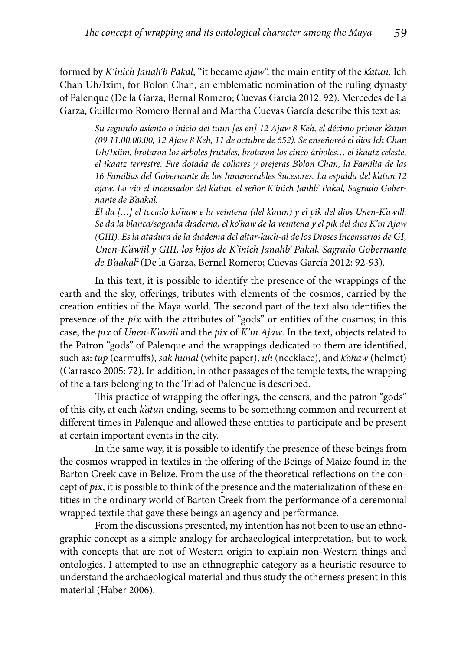formed by *K'inich Janah'b Pakal*, "it became *ajaw*", the main entity of the *k'atun,* Ich Chan Uh/Ixim, for B'olon Chan, an emblematic nomination of the ruling dynasty of Palenque (De la Garza, Bernal Romero; Cuevas García 2012: 92). Mercedes de La Garza, Guillermo Romero Bernal and Martha Cuevas García describe this text as:

> *Su segundo asiento o inicio del tuun [es en] 12 Ajaw 8 Keh, el décimo primer k'atun (09.11.00.00.00, 12 Ajaw 8 Keh, 11 de octubre de 652). Se enseñoreó el dios Ich Chan Uh/Ixiim, brotaron los árboles frutales, brotaron los cinco árboles… el ikaatz celeste, el ikaatz terrestre. Fue dotada de collares y orejeras B'olon Chan, la Familia de las 16 Familias del Gobernante de los Innumerables Sucesores. La espalda del k'atun 12 ajaw. Lo vio el Incensador del k'atun, el señor K'inich Janhb' Pakal, Sagrado Gobernante de B'aakal.*

> *Él da […] el tocado ko'haw e la veintena (del k'atun) y el pik del dios Unen-K'awill. Se da la blanca/sagrada diadema, el ko'haw de la veintena y el pik del dios K'in Ajaw (GIII). Es la atadura de la diadema del altar-kuch-al de los Dioses Incensarios de GI, Unen-K'awiil y GIII, los hijos de K'inich Janahb' Pakal, Sagrado Gobernante de B'aakal*2 (De la Garza, Bernal Romero; Cuevas García 2012: 92-93).

In this text, it is possible to identify the presence of the wrappings of the earth and the sky, offerings, tributes with elements of the cosmos, carried by the creation entities of the Maya world. The second part of the text also identifies the presence of the *pix* with the attributes of "gods" or entities of the cosmos; in this case, the *pix* of *Unen-K'awiil* and the *pix* of *K'in Ajaw*. In the text, objects related to the Patron "gods" of Palenque and the wrappings dedicated to them are identified, such as: *tup* (earmuffs), *sak hunal* (white paper), *uh* (necklace), and *kohaw* (helmet) (Carrasco 2005: 72). In addition, in other passages of the temple texts, the wrapping of the altars belonging to the Triad of Palenque is described.

This practice of wrapping the offerings, the censers, and the patron "gods" of this city, at each *k'atun* ending, seems to be something common and recurrent at different times in Palenque and allowed these entities to participate and be present at certain important events in the city.

In the same way, it is possible to identify the presence of these beings from the cosmos wrapped in textiles in the offering of the Beings of Maize found in the Barton Creek cave in Belize. From the use of the theoretical reflections on the concept of *pix*, it is possible to think of the presence and the materialization of these entities in the ordinary world of Barton Creek from the performance of a ceremonial wrapped textile that gave these beings an agency and performance.

From the discussions presented, my intention has not been to use an ethnographic concept as a simple analogy for archaeological interpretation, but to work with concepts that are not of Western origin to explain non-Western things and ontologies. I attempted to use an ethnographic category as a heuristic resource to understand the archaeological material and thus study the otherness present in this material (Haber 2006).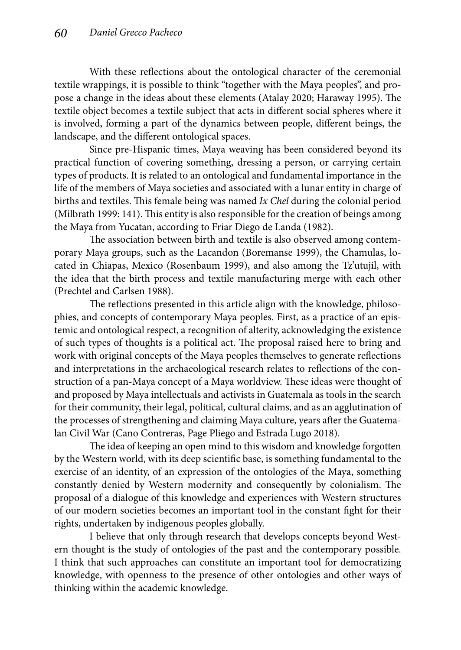With these reflections about the ontological character of the ceremonial textile wrappings, it is possible to think "together with the Maya peoples", and propose a change in the ideas about these elements (Atalay 2020; Haraway 1995). The textile object becomes a textile subject that acts in different social spheres where it is involved, forming a part of the dynamics between people, different beings, the landscape, and the different ontological spaces.

Since pre-Hispanic times, Maya weaving has been considered beyond its practical function of covering something, dressing a person, or carrying certain types of products. It is related to an ontological and fundamental importance in the life of the members of Maya societies and associated with a lunar entity in charge of births and textiles. This female being was named *Ix Chel* during the colonial period (Milbrath 1999: 141). This entity is also responsible for the creation of beings among the Maya from Yucatan, according to Friar Diego de Landa (1982).

The association between birth and textile is also observed among contemporary Maya groups, such as the Lacandon (Boremanse 1999), the Chamulas, located in Chiapas, Mexico (Rosenbaum 1999), and also among the Tz'utujil, with the idea that the birth process and textile manufacturing merge with each other (Prechtel and Carlsen 1988).

The reflections presented in this article align with the knowledge, philosophies, and concepts of contemporary Maya peoples. First, as a practice of an epistemic and ontological respect, a recognition of alterity, acknowledging the existence of such types of thoughts is a political act. The proposal raised here to bring and work with original concepts of the Maya peoples themselves to generate reflections and interpretations in the archaeological research relates to reflections of the construction of a pan-Maya concept of a Maya worldview. These ideas were thought of and proposed by Maya intellectuals and activists in Guatemala as tools in the search for their community, their legal, political, cultural claims, and as an agglutination of the processes of strengthening and claiming Maya culture, years after the Guatemalan Civil War (Cano Contreras, Page Pliego and Estrada Lugo 2018).

The idea of keeping an open mind to this wisdom and knowledge forgotten by the Western world, with its deep scientific base, is something fundamental to the exercise of an identity, of an expression of the ontologies of the Maya, something constantly denied by Western modernity and consequently by colonialism. The proposal of a dialogue of this knowledge and experiences with Western structures of our modern societies becomes an important tool in the constant fight for their rights, undertaken by indigenous peoples globally.

I believe that only through research that develops concepts beyond Western thought is the study of ontologies of the past and the contemporary possible. I think that such approaches can constitute an important tool for democratizing knowledge, with openness to the presence of other ontologies and other ways of thinking within the academic knowledge.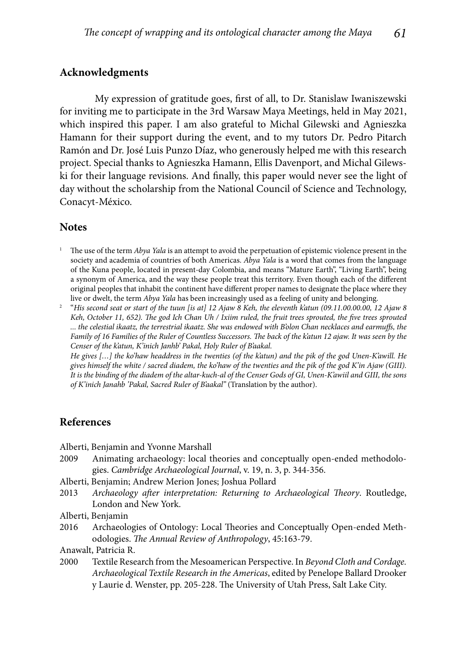### **Acknowledgments**

My expression of gratitude goes, first of all, to Dr. Stanislaw Iwaniszewski for inviting me to participate in the 3rd Warsaw Maya Meetings, held in May 2021, which inspired this paper. I am also grateful to Michal Gilewski and Agnieszka Hamann for their support during the event, and to my tutors Dr. Pedro Pitarch Ramón and Dr. José Luis Punzo Díaz, who generously helped me with this research project. Special thanks to Agnieszka Hamann, Ellis Davenport, and Michal Gilewski for their language revisions. And finally, this paper would never see the light of day without the scholarship from the National Council of Science and Technology, Conacyt-México.

#### **Notes**

- 1 The use of the term *Abya Yala* is an attempt to avoid the perpetuation of epistemic violence present in the society and academia of countries of both Americas. *Abya Yala* is a word that comes from the language of the Kuna people, located in present-day Colombia, and means "Mature Earth", "Living Earth", being a synonym of America, and the way these people treat this territory. Even though each of the different original peoples that inhabit the continent have different proper names to designate the place where they live or dwelt, the term *Abya Yala* has been increasingly used as a feeling of unity and belonging.
- 2 "*His second seat or start of the tuun [is at] 12 Ajaw 8 Keh, the eleventh k'atun (09.11.00.00.00, 12 Ajaw 8 Keh, October 11, 652). The god Ich Chan Uh / Ixiim ruled, the fruit trees sprouted, the five trees sprouted ... the celestial ikaatz, the terrestrial ikaatz. She was endowed with B'olon Chan necklaces and earmuff s, the Family of 16 Families of the Ruler of Countless Successors. The back of the k'atun 12 ajaw. It was seen by the Censer of the k'atun, K'inich Janhb' Pakal, Holy Ruler of B'aakal.*

 *He gives […] the ko'haw headdress in the twenties (of the k'atun) and the pik of the god Unen-K'awill. He gives himself the white / sacred diadem, the ko'haw of the twenties and the pik of the god K'in Ajaw (GIII). It is the binding of the diadem of the altar-kuch-al of the Censer Gods of GI, Unen-K'awiil and GIII, the sons of K'inich Janahb 'Pakal, Sacred Ruler of B'aakal"* (Translation by the author).

#### **References**

- Alberti, Benjamin and Yvonne Marshall
- 2009 Animating archaeology: local theories and conceptually open-ended methodologies. *Cambridge Archaeological Journal*, v. 19, n. 3, p. 344-356.
- Alberti, Benjamin; Andrew Merion Jones; Joshua Pollard
- 2013 Archaeology after interpretation: Returning to Archaeological Theory. Routledge, London and New York.
- Alberti, Benjamin
- 2016 Archaeologies of Ontology: Local Theories and Conceptually Open-ended Methodologies. *The Annual Review of Anthropology*, 45:163-79.

Anawalt, Patricia R.

2000 Textile Research from the Mesoamerican Perspective. In *Beyond Cloth and Cordage. Archaeological Textile Research in the Americas*, edited by Penelope Ballard Drooker y Laurie d. Wenster, pp. 205-228. The University of Utah Press, Salt Lake City.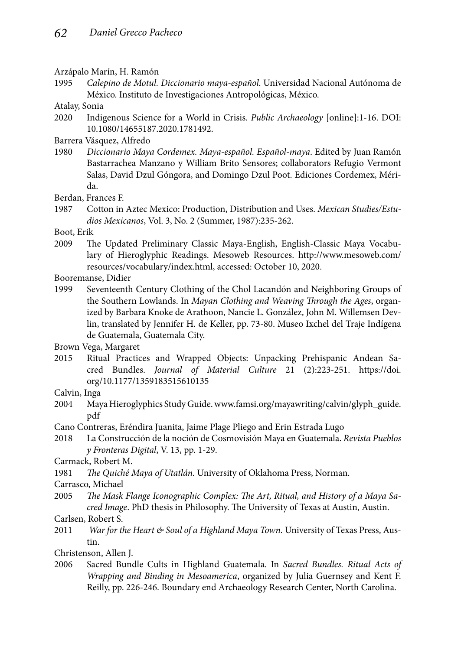Arzápalo Marín, H. Ramón

1995 *Calepino de Motul. Diccionario maya-español*. Universidad Nacional Autónoma de México. Instituto de Investigaciones Antropológicas, México.

Atalay, Sonia

2020 Indigenous Science for a World in Crisis. *Public Archaeology* [online]:1-16. DOI: 10.1080/14655187.2020.1781492.

Barrera Vásquez, Alfredo

1980 *Diccionario Maya Cordemex. Maya-español. Español-maya*. Edited by Juan Ramón Bastarrachea Manzano y William Brito Sensores; collaborators Refugio Vermont Salas, David Dzul Góngora, and Domingo Dzul Poot. Ediciones Cordemex, Mérida.

Berdan, Frances F.

1987 Cotton in Aztec Mexico: Production, Distribution and Uses. *Mexican Studies/Estudios Mexicanos*, Vol. 3, No. 2 (Summer, 1987):235-262.

Boot, Erik

2009 The Updated Preliminary Classic Maya-English, English-Classic Maya Vocabulary of Hieroglyphic Readings. Mesoweb Resources. http://www.mesoweb.com/ resources/vocabulary/index.html, accessed: October 10, 2020.

Booremanse, Didier

1999 Seventeenth Century Clothing of the Chol Lacandón and Neighboring Groups of the Southern Lowlands. In *Mayan Clothing and Weaving Th rough the Ages*, organized by Barbara Knoke de Arathoon, Nancie L. González, John M. Willemsen Devlin, translated by Jennifer H. de Keller, pp. 73-80. Museo Ixchel del Traje Indígena de Guatemala, Guatemala City.

Brown Vega, Margaret

2015 Ritual Practices and Wrapped Objects: Unpacking Prehispanic Andean Sacred Bundles. *Journal of Material Culture* 21 (2):223-251. https://doi. org/10.1177/1359183515610135

Calvin, Inga

- 2004 Maya Hieroglyphics Study Guide. www.famsi.org/mayawriting/calvin/glyph\_guide. pdf
- Cano Contreras, Eréndira Juanita, Jaime Plage Pliego and Erin Estrada Lugo
- 2018 La Construcción de la noción de Cosmovisión Maya en Guatemala. *Revista Pueblos y Fronteras Digital*, V. 13, pp. 1-29.

Carmack, Robert M.

- 1981 The Quiché Maya of Utatlán. University of Oklahoma Press, Norman.
- Carrasco, Michael
- 2005 The Mask Flange Iconographic Complex: The Art, Ritual, and History of a Maya Sa*cred Image*. PhD thesis in Philosophy. The University of Texas at Austin, Austin.

Carlsen, Robert S.

2011 *War for the Heart & Soul of a Highland Maya Town.* University of Texas Press, Austin.

Christenson, Allen J.

2006 Sacred Bundle Cults in Highland Guatemala. In *Sacred Bundles. Ritual Acts of Wrapping and Binding in Mesoamerica*, organized by Julia Guernsey and Kent F. Reilly, pp. 226-246. Boundary end Archaeology Research Center, North Carolina.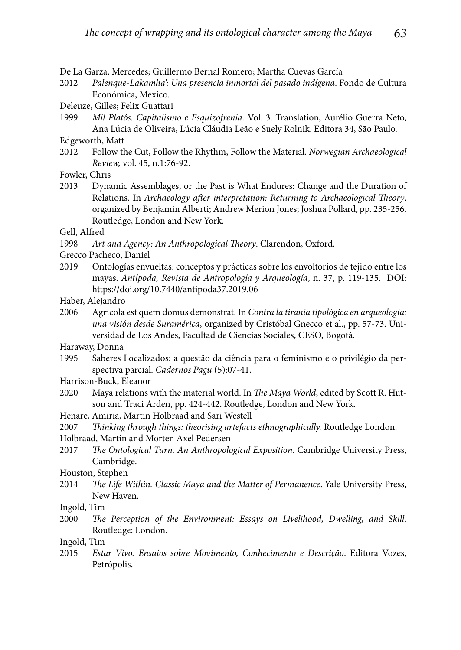De La Garza, Mercedes; Guillermo Bernal Romero; Martha Cuevas García

2012 *Palenque-Lakamha': Una presencia inmortal del pasado indígena*. Fondo de Cultura Económica, Mexico.

Deleuze, Gilles; Felix Guattari

1999 *Mil Platôs. Capitalismo e Esquizofrenia.* Vol. 3. Translation, Aurélio Guerra Neto, Ana Lúcia de Oliveira, Lúcia Cláudia Leão e Suely Rolnik. Editora 34, São Paulo.

Edgeworth, Matt

2012 Follow the Cut, Follow the Rhythm, Follow the Material. *Norwegian Archaeological Review,* vol. 45, n.1:76-92.

Fowler, Chris

2013 Dynamic Assemblages, or the Past is What Endures: Change and the Duration of Relations. In *Archaeology after interpretation: Returning to Archaeological Theory*, organized by Benjamin Alberti; Andrew Merion Jones; Joshua Pollard, pp. 235-256. Routledge, London and New York.

Gell, Alfred

1998 Art and Agency: An Anthropological Theory. Clarendon, Oxford.

Grecco Pacheco, Daniel

2019 Ontologías envueltas: conceptos y prácticas sobre los envoltorios de tejido entre los mayas. *Antípoda, Revista de Antropología y Arqueología*, n. 37, p. 119-135. DOI: https://doi.org/10.7440/antipoda37.2019.06

Haber, Alejandro

2006 Agricola est quem domus demonstrat. In *Contra la tiranía tipológica en arqueología: una visión desde Suramérica*, organized by Cristóbal Gnecco et al., pp. 57-73. Universidad de Los Andes, Facultad de Ciencias Sociales, CESO, Bogotá.

Haraway, Donna

1995 Saberes Localizados: a questão da ciência para o feminismo e o privilégio da perspectiva parcial. *Cadernos Pagu* (5):07-41.

Harrison-Buck, Eleanor

- 2020 Maya relations with the material world. In *The Maya World*, edited by Scott R. Hutson and Traci Arden, pp. 424-442. Routledge, London and New York.
- Henare, Amiria, Martin Holbraad and Sari Westell

2007 *Th inking through things: theorising artefacts ethnographically.* Routledge London.

- Holbraad, Martin and Morten Axel Pedersen
- 2017 *The Ontological Turn. An Anthropological Exposition*. Cambridge University Press, Cambridge.

Houston, Stephen

2014 *The Life Within. Classic Maya and the Matter of Permanence*. Yale University Press, New Haven.

Ingold, Tim

2000 *The Perception of the Environment: Essays on Livelihood, Dwelling, and Skill.* Routledge: London.

Ingold, Tim

2015 *Estar Vivo. Ensaios sobre Movimento, Conhecimento e Descrição*. Editora Vozes, Petrópolis.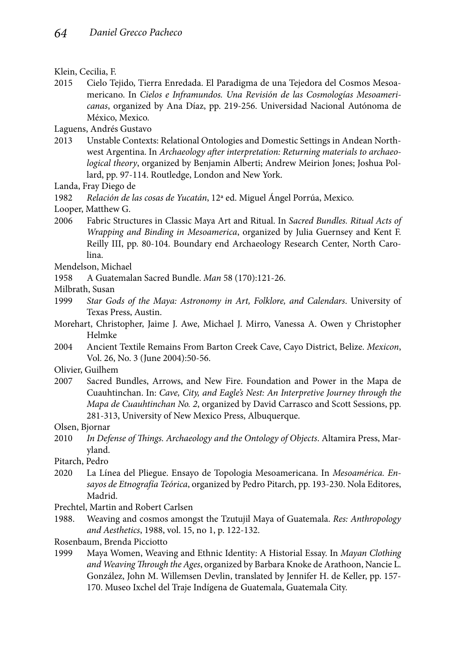2015 Cielo Tejido, Tierra Enredada. El Paradigma de una Tejedora del Cosmos Mesoamericano. In *Cielos e Inframundos. Una Revisión de las Cosmologías Mesoamericanas*, organized by Ana Díaz, pp. 219-256. Universidad Nacional Autónoma de México, Mexico.

Laguens, Andrés Gustavo

- 2013 Unstable Contexts: Relational Ontologies and Domestic Settings in Andean Northwest Argentina. In *Archaeology after interpretation: Returning materials to archaeological theory*, organized by Benjamin Alberti; Andrew Meirion Jones; Joshua Pollard, pp. 97-114. Routledge, London and New York.
- Landa, Fray Diego de

1982 *Relación de las cosas de Yucatán*, 12ª ed. Miguel Ángel Porrúa, Mexico.

Looper, Matthew G.

2006 Fabric Structures in Classic Maya Art and Ritual. In *Sacred Bundles. Ritual Acts of Wrapping and Binding in Mesoamerica*, organized by Julia Guernsey and Kent F. Reilly III, pp. 80-104. Boundary end Archaeology Research Center, North Carolina.

Mendelson, Michael

- 1958 A Guatemalan Sacred Bundle. *Man* 58 (170):121-26.
- Milbrath, Susan
- 1999 *Star Gods of the Maya: Astronomy in Art, Folklore, and Calendars*. University of Texas Press, Austin.
- Morehart, Christopher, Jaime J. Awe, Michael J. Mirro, Vanessa A. Owen y Christopher Helmke
- 2004 Ancient Textile Remains From Barton Creek Cave, Cayo District, Belize. *Mexicon*, Vol. 26, No. 3 (June 2004):50-56.

Olivier, Guilhem

2007 Sacred Bundles, Arrows, and New Fire. Foundation and Power in the Mapa de Cuauhtinchan. In: *Cave, City, and Eagle's Nest: An Interpretive Journey through the Mapa de Cuauhtinchan No. 2*, organized by David Carrasco and Scott Sessions, pp. 281-313, University of New Mexico Press, Albuquerque.

Olsen, Bjornar

2010 *In Defense of Things. Archaeology and the Ontology of Objects. Altamira Press, Mar*yland.

Pitarch, Pedro

- 2020 La Línea del Pliegue. Ensayo de Topologia Mesoamericana. In *Mesoamérica. Ensayos de Etnografía Teórica*, organized by Pedro Pitarch, pp. 193-230. Nola Editores, Madrid.
- Prechtel, Martin and Robert Carlsen
- 1988. Weaving and cosmos amongst the Tzutujil Maya of Guatemala. *Res: Anthropology and Aesthetics*, 1988, vol. 15, no 1, p. 122-132.

Rosenbaum, Brenda Picciotto

1999 Maya Women, Weaving and Ethnic Identity: A Historial Essay. In *Mayan Clothing*  and Weaving Through the Ages, organized by Barbara Knoke de Arathoon, Nancie L. González, John M. Willemsen Devlin, translated by Jennifer H. de Keller, pp. 157- 170. Museo Ixchel del Traje Indígena de Guatemala, Guatemala City.

Klein, Cecilia, F.